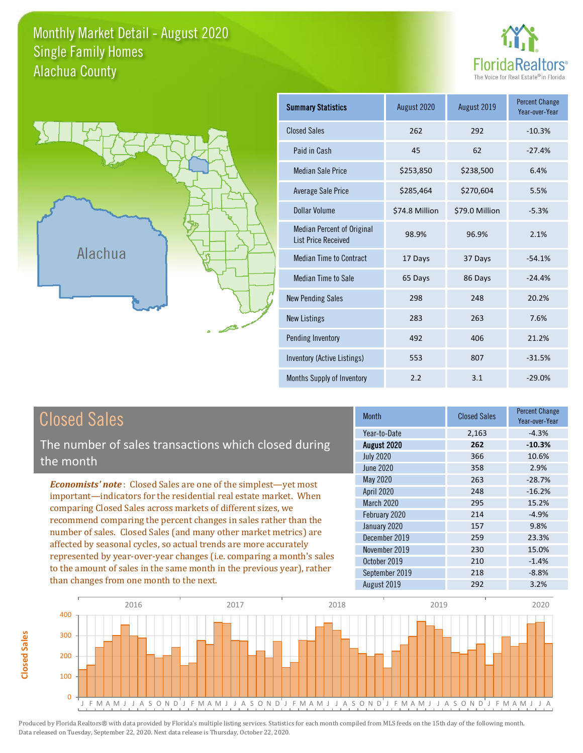#### Monthly Market Detail - August 2020 Alachua County Single Family Homes





**Closed Sales**

**Closed Sales** 

| <b>Summary Statistics</b>                                       | August 2019<br>August 2020 |                | <b>Percent Change</b><br>Year-over-Year |
|-----------------------------------------------------------------|----------------------------|----------------|-----------------------------------------|
| <b>Closed Sales</b>                                             | 262                        | 292            | $-10.3%$                                |
| Paid in Cash                                                    | 45                         | 62             | $-27.4%$                                |
| <b>Median Sale Price</b>                                        | \$253,850                  | \$238,500      | 6.4%                                    |
| Average Sale Price                                              | \$285,464                  | \$270,604      | 5.5%                                    |
| Dollar Volume                                                   | \$74.8 Million             | \$79.0 Million | $-5.3%$                                 |
| <b>Median Percent of Original</b><br><b>List Price Received</b> | 98.9%                      | 96.9%          | 2.1%                                    |
| <b>Median Time to Contract</b>                                  | 17 Days                    | 37 Days        | $-54.1%$                                |
| <b>Median Time to Sale</b>                                      | 65 Days                    | 86 Days        |                                         |
| <b>New Pending Sales</b>                                        | 298                        | 248            | 20.2%                                   |
| <b>New Listings</b>                                             | 283                        | 263            | 7.6%                                    |
| Pending Inventory                                               | 492                        | 406            | 21.2%                                   |
| Inventory (Active Listings)                                     | 553                        | 807            | $-31.5%$                                |
| Months Supply of Inventory                                      | 2.2                        | 3.1            | $-29.0%$                                |

| <b>Closed Sales</b>                                                                                                                                                                                                                                                                                                                             | <b>Month</b>      | <b>Closed Sales</b> | <b>Percent Change</b><br>Year-over-Year |
|-------------------------------------------------------------------------------------------------------------------------------------------------------------------------------------------------------------------------------------------------------------------------------------------------------------------------------------------------|-------------------|---------------------|-----------------------------------------|
|                                                                                                                                                                                                                                                                                                                                                 | Year-to-Date      | 2,163               | $-4.3%$                                 |
| The number of sales transactions which closed during                                                                                                                                                                                                                                                                                            | August 2020       | 262                 | $-10.3%$                                |
| the month                                                                                                                                                                                                                                                                                                                                       | <b>July 2020</b>  | 366                 | 10.6%                                   |
|                                                                                                                                                                                                                                                                                                                                                 | <b>June 2020</b>  | 358                 | 2.9%                                    |
| <b>Economists' note:</b> Closed Sales are one of the simplest-yet most                                                                                                                                                                                                                                                                          | May 2020          | 263                 | $-28.7%$                                |
| important—indicators for the residential real estate market. When<br>comparing Closed Sales across markets of different sizes, we<br>recommend comparing the percent changes in sales rather than the<br>number of sales. Closed Sales (and many other market metrics) are<br>affected by seasonal cycles, so actual trends are more accurately | <b>April 2020</b> | 248                 | $-16.2%$                                |
|                                                                                                                                                                                                                                                                                                                                                 | March 2020        | 295                 | 15.2%                                   |
|                                                                                                                                                                                                                                                                                                                                                 | February 2020     | 214                 | $-4.9%$                                 |
|                                                                                                                                                                                                                                                                                                                                                 | January 2020      | 157                 | 9.8%                                    |
|                                                                                                                                                                                                                                                                                                                                                 | December 2019     | 259                 | 23.3%                                   |
|                                                                                                                                                                                                                                                                                                                                                 | November 2019     | 230                 | 15.0%                                   |
| represented by year-over-year changes (i.e. comparing a month's sales                                                                                                                                                                                                                                                                           | October 2019      | 210                 | $-1.4%$                                 |
| to the amount of sales in the same month in the previous year), rather                                                                                                                                                                                                                                                                          | September 2019    | 218                 | $-8.8%$                                 |
| than changes from one month to the next.                                                                                                                                                                                                                                                                                                        | August 2019       | 292                 | 3.2%                                    |
|                                                                                                                                                                                                                                                                                                                                                 |                   |                     |                                         |

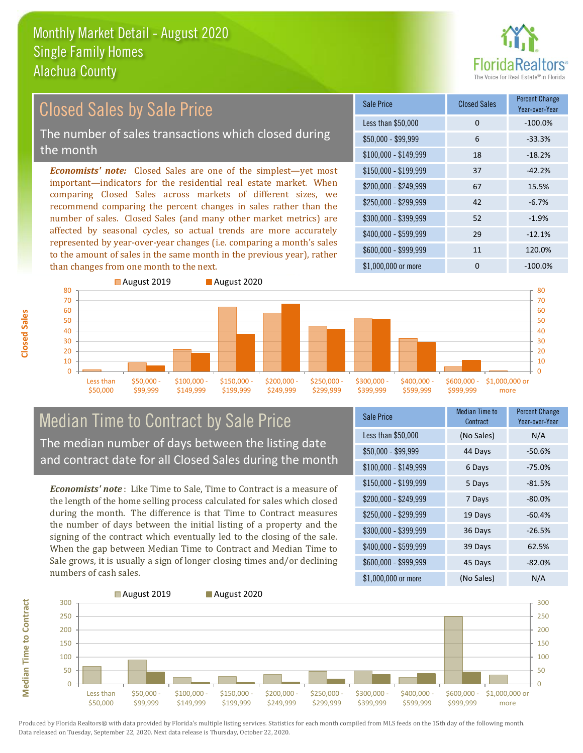than changes from one month to the next.



#### \$100,000 - \$149,999 18 -18.2% Sale Price Closed Sales Percent Change Year-over-Year Less than \$50,000 0 0 -100.0%  $$50,000 - $99,999$  6 -33.3% \$150,000 - \$199,999 37 -42.2% \$200,000 - \$249,999 67 15.5% \$400,000 - \$599,999 29 -12.1% \$600,000 - \$999,999 11 120.0% *Economists' note:* Closed Sales are one of the simplest—yet most important—indicators for the residential real estate market. When comparing Closed Sales across markets of different sizes, we recommend comparing the percent changes in sales rather than the number of sales. Closed Sales (and many other market metrics) are affected by seasonal cycles, so actual trends are more accurately represented by year-over-year changes (i.e. comparing a month's sales to the amount of sales in the same month in the previous year), rather  $$250,000 - $299,999$  42 -6.7% \$300,000 - \$399,999 52 -1.9% Closed Sales by Sale Price The number of sales transactions which closed during the month



### Median Time to Contract by Sale Price The median number of days between the listing date and contract date for all Closed Sales during the month

*Economists' note* : Like Time to Sale, Time to Contract is a measure of the length of the home selling process calculated for sales which closed during the month. The difference is that Time to Contract measures the number of days between the initial listing of a property and the signing of the contract which eventually led to the closing of the sale. When the gap between Median Time to Contract and Median Time to Sale grows, it is usually a sign of longer closing times and/or declining numbers of cash sales.

| <b>Sale Price</b>     | Median Time to<br>Contract | <b>Percent Change</b><br>Year-over-Year |
|-----------------------|----------------------------|-----------------------------------------|
| Less than \$50,000    | (No Sales)                 | N/A                                     |
| \$50,000 - \$99,999   | 44 Days                    | $-50.6%$                                |
| $$100,000 - $149,999$ | 6 Days                     | $-75.0%$                                |
| $$150,000 - $199,999$ | 5 Days                     | $-81.5%$                                |
| \$200,000 - \$249,999 | 7 Days                     | $-80.0%$                                |
| \$250,000 - \$299,999 | 19 Days                    | $-60.4%$                                |
| \$300,000 - \$399,999 | 36 Days                    | $-26.5%$                                |
| \$400,000 - \$599,999 | 39 Days                    | 62.5%                                   |
| \$600,000 - \$999,999 | 45 Days                    | $-82.0%$                                |
| \$1,000,000 or more   | (No Sales)                 | N/A                                     |

\$1,000,000 or more 0 0 -100.0%

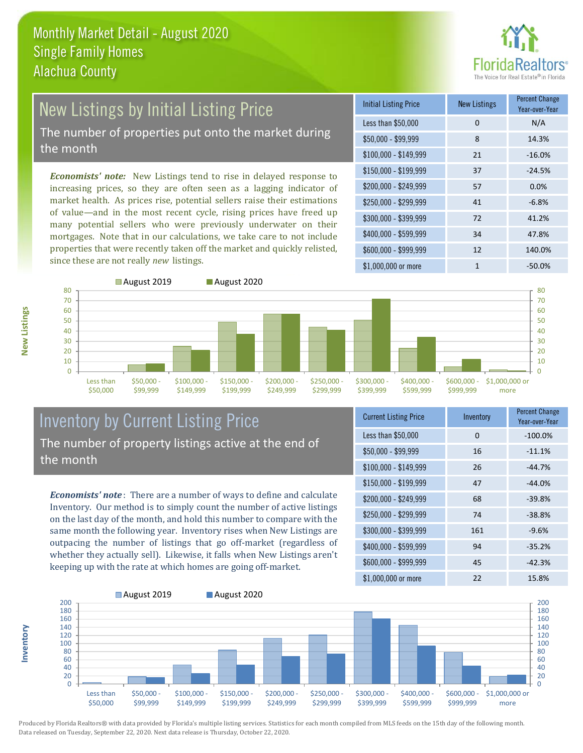

# New Listings by Initial Listing Price The number of properties put onto the market during

the month

*Economists' note:* New Listings tend to rise in delayed response to increasing prices, so they are often seen as a lagging indicator of market health. As prices rise, potential sellers raise their estimations of value—and in the most recent cycle, rising prices have freed up many potential sellers who were previously underwater on their mortgages. Note that in our calculations, we take care to not include properties that were recently taken off the market and quickly relisted, since these are not really *new* listings.

| <b>Initial Listing Price</b> | <b>New Listings</b> | <b>Percent Change</b><br>Year-over-Year |
|------------------------------|---------------------|-----------------------------------------|
| Less than \$50,000           | $\Omega$            | N/A                                     |
| $$50,000 - $99,999$          | 8                   | 14.3%                                   |
| $$100,000 - $149,999$        | 21                  | $-16.0%$                                |
| $$150,000 - $199,999$        | 37                  | $-24.5%$                                |
| \$200,000 - \$249,999        | 57                  | 0.0%                                    |
| \$250,000 - \$299,999        | 41                  | $-6.8%$                                 |
| \$300,000 - \$399,999        | 72                  | 41.2%                                   |
| \$400,000 - \$599,999        | 34                  | 47.8%                                   |
| \$600,000 - \$999,999        | 12                  | 140.0%                                  |
| \$1,000,000 or more          | 1                   | $-50.0\%$                               |



### Inventory by Current Listing Price The number of property listings active at the end of the month

*Economists' note* : There are a number of ways to define and calculate Inventory. Our method is to simply count the number of active listings on the last day of the month, and hold this number to compare with the same month the following year. Inventory rises when New Listings are outpacing the number of listings that go off-market (regardless of whether they actually sell). Likewise, it falls when New Listings aren't keeping up with the rate at which homes are going off-market.

| <b>Current Listing Price</b> | Inventory | <b>Percent Change</b><br>Year-over-Year |
|------------------------------|-----------|-----------------------------------------|
| Less than \$50,000           | 0         | $-100.0%$                               |
| $$50,000 - $99,999$          | 16        | $-11.1%$                                |
| $$100,000 - $149,999$        | 26        | $-44.7%$                                |
| $$150,000 - $199,999$        | 47        | $-44.0%$                                |
| \$200,000 - \$249,999        | 68        | $-39.8%$                                |
| \$250,000 - \$299,999        | 74        | $-38.8%$                                |
| \$300,000 - \$399,999        | 161       | $-9.6%$                                 |
| $$400,000 - $599,999$        | 94        | $-35.2%$                                |
| \$600,000 - \$999,999        | 45        | $-42.3%$                                |
| \$1,000,000 or more          | 22        | 15.8%                                   |



Produced by Florida Realtors® with data provided by Florida's multiple listing services. Statistics for each month compiled from MLS feeds on the 15th day of the following month. Data released on Tuesday, September 22, 2020. Next data release is Thursday, October 22, 2020.

**Inventory**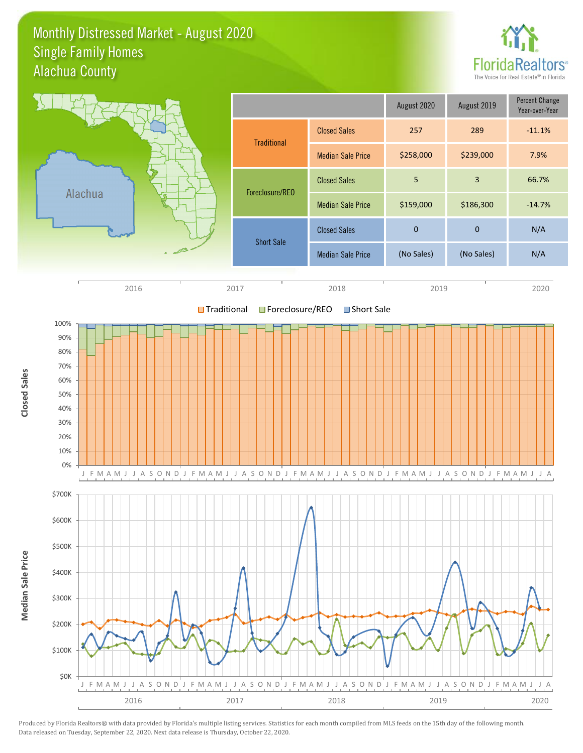#### Monthly Distressed Market - August 2020 Alachua County Single Family Homes



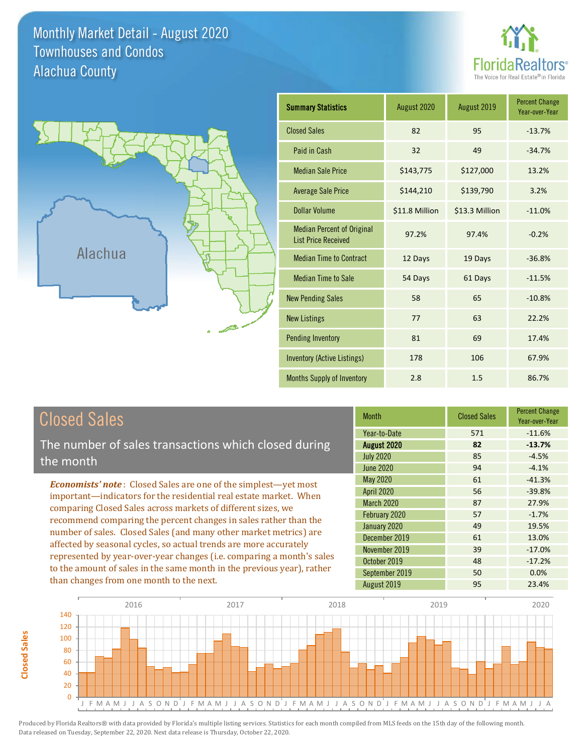Monthly Market Detail - August 2020 Alachua County Townhouses and Condos





**Closed Sales**

**Closed Sales** 

| <b>Summary Statistics</b>                                       | August 2020    | August 2019    | <b>Percent Change</b><br>Year-over-Year |
|-----------------------------------------------------------------|----------------|----------------|-----------------------------------------|
| <b>Closed Sales</b>                                             | 82             | 95             | $-13.7%$                                |
| Paid in Cash                                                    | 32             | 49             | $-34.7%$                                |
| <b>Median Sale Price</b>                                        | \$143,775      | \$127,000      | 13.2%                                   |
| <b>Average Sale Price</b>                                       | \$144,210      | \$139,790      | 3.2%                                    |
| Dollar Volume                                                   | \$11.8 Million | \$13.3 Million | $-11.0%$                                |
| <b>Median Percent of Original</b><br><b>List Price Received</b> | 97.2%          | 97.4%          | $-0.2%$                                 |
| <b>Median Time to Contract</b>                                  | 12 Days        | 19 Days        | $-36.8%$                                |
| <b>Median Time to Sale</b>                                      | 54 Days        | 61 Days        | $-11.5%$                                |
| <b>New Pending Sales</b>                                        | 58             | 65             | $-10.8%$                                |
| <b>New Listings</b>                                             | 77             | 63             | 22.2%                                   |
| <b>Pending Inventory</b>                                        | 81             | 69             | 17.4%                                   |
| <b>Inventory (Active Listings)</b>                              | 178            | 106            | 67.9%                                   |
| Months Supply of Inventory                                      | 2.8            | 1.5            | 86.7%                                   |

| <b>Closed Sales</b>                                                                                                                                                                                                                                                                                                                             | <b>Month</b>      | <b>Closed Sales</b> | <b>Percent Change</b><br>Year-over-Year |
|-------------------------------------------------------------------------------------------------------------------------------------------------------------------------------------------------------------------------------------------------------------------------------------------------------------------------------------------------|-------------------|---------------------|-----------------------------------------|
|                                                                                                                                                                                                                                                                                                                                                 | Year-to-Date      | 571                 | $-11.6%$                                |
| The number of sales transactions which closed during                                                                                                                                                                                                                                                                                            | August 2020       | 82                  | $-13.7%$                                |
| the month                                                                                                                                                                                                                                                                                                                                       | <b>July 2020</b>  | 85                  | $-4.5%$                                 |
|                                                                                                                                                                                                                                                                                                                                                 | <b>June 2020</b>  | 94                  | $-4.1%$                                 |
| <b>Economists' note:</b> Closed Sales are one of the simplest—yet most                                                                                                                                                                                                                                                                          | May 2020          | 61                  | $-41.3%$                                |
| important-indicators for the residential real estate market. When<br>comparing Closed Sales across markets of different sizes, we<br>recommend comparing the percent changes in sales rather than the<br>number of sales. Closed Sales (and many other market metrics) are<br>affected by seasonal cycles, so actual trends are more accurately | <b>April 2020</b> | 56                  | $-39.8%$                                |
|                                                                                                                                                                                                                                                                                                                                                 | <b>March 2020</b> | 87                  | 27.9%                                   |
|                                                                                                                                                                                                                                                                                                                                                 | February 2020     | 57                  | $-1.7%$                                 |
|                                                                                                                                                                                                                                                                                                                                                 | January 2020      | 49                  | 19.5%                                   |
|                                                                                                                                                                                                                                                                                                                                                 | December 2019     | 61                  | 13.0%                                   |
|                                                                                                                                                                                                                                                                                                                                                 | November 2019     | 39                  | $-17.0\%$                               |
| represented by year-over-year changes (i.e. comparing a month's sales                                                                                                                                                                                                                                                                           | October 2019      | 48                  | $-17.2%$                                |
| to the amount of sales in the same month in the previous year), rather                                                                                                                                                                                                                                                                          | September 2019    | 50                  | 0.0%                                    |
| than changes from one month to the next.                                                                                                                                                                                                                                                                                                        | August 2019       | 95                  | 23.4%                                   |

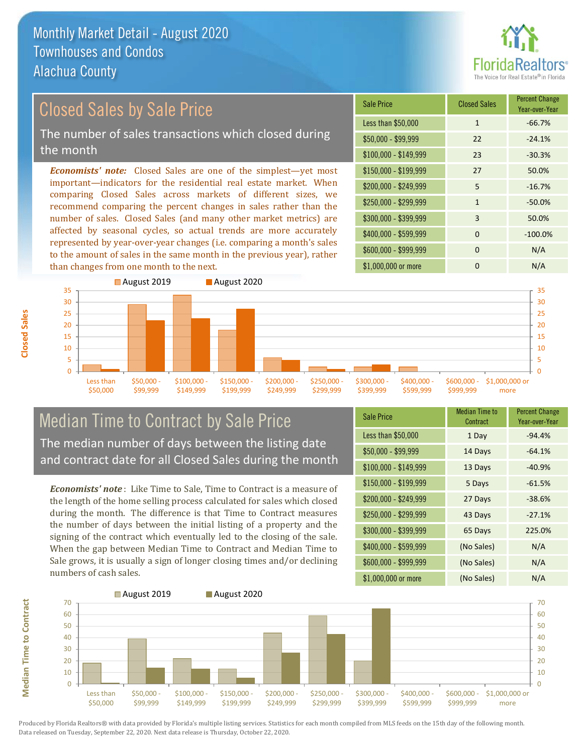

## Closed Sales by Sale Price

The number of sales transactions which closed during the month

*Economists' note:* Closed Sales are one of the simplest—yet most important—indicators for the residential real estate market. When comparing Closed Sales across markets of different sizes, we recommend comparing the percent changes in sales rather than the number of sales. Closed Sales (and many other market metrics) are affected by seasonal cycles, so actual trends are more accurately represented by year-over-year changes (i.e. comparing a month's sales to the amount of sales in the same month in the previous year), rather than changes from one month to the next.





#### Median Time to Contract by Sale Price The median number of days between the listing date and contract date for all Closed Sales during the month

*Economists' note* : Like Time to Sale, Time to Contract is a measure of the length of the home selling process calculated for sales which closed during the month. The difference is that Time to Contract measures the number of days between the initial listing of a property and the signing of the contract which eventually led to the closing of the sale. When the gap between Median Time to Contract and Median Time to Sale grows, it is usually a sign of longer closing times and/or declining numbers of cash sales.

| <b>Sale Price</b>     | Median Time to<br>Contract | <b>Percent Change</b><br>Year-over-Year |
|-----------------------|----------------------------|-----------------------------------------|
| Less than \$50,000    | 1 Day                      | $-94.4%$                                |
| $$50,000 - $99,999$   | 14 Days                    | $-64.1%$                                |
| $$100,000 - $149,999$ | 13 Days                    | $-40.9%$                                |
| $$150,000 - $199,999$ | 5 Days                     | $-61.5%$                                |
| \$200,000 - \$249,999 | 27 Days                    | $-38.6%$                                |
| \$250,000 - \$299,999 | 43 Days                    | $-27.1%$                                |
| \$300,000 - \$399,999 | 65 Days                    | 225.0%                                  |
| \$400,000 - \$599,999 | (No Sales)                 | N/A                                     |
| \$600,000 - \$999,999 | (No Sales)                 | N/A                                     |
| \$1,000,000 or more   | (No Sales)                 | N/A                                     |



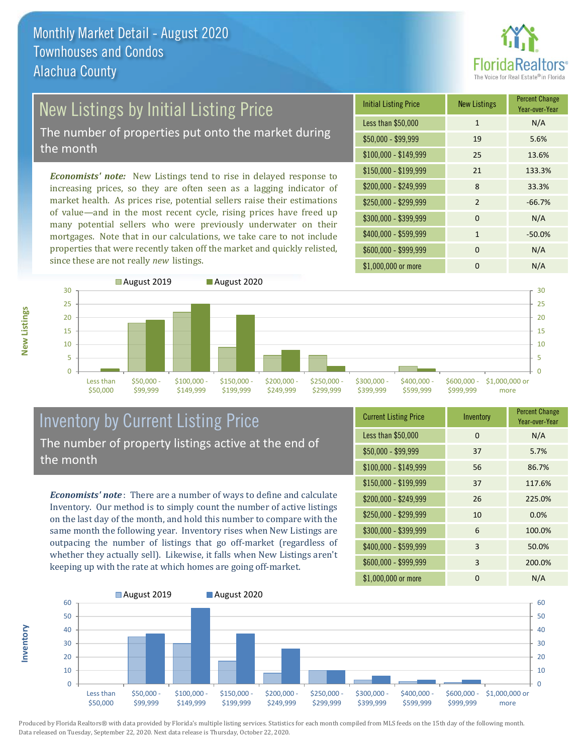

# New Listings by Initial Listing Price

The number of properties put onto the market during the month

*Economists' note:* New Listings tend to rise in delayed response to increasing prices, so they are often seen as a lagging indicator of market health. As prices rise, potential sellers raise their estimations of value—and in the most recent cycle, rising prices have freed up many potential sellers who were previously underwater on their mortgages. Note that in our calculations, we take care to not include properties that were recently taken off the market and quickly relisted, since these are not really *new* listings.

| <b>Initial Listing Price</b> | <b>New Listings</b> | <b>Percent Change</b><br>Year-over-Year |
|------------------------------|---------------------|-----------------------------------------|
| Less than \$50,000           | $\mathbf{1}$        | N/A                                     |
| $$50,000 - $99,999$          | 19                  | 5.6%                                    |
| $$100,000 - $149,999$        | 25                  | 13.6%                                   |
| \$150,000 - \$199,999        | 21                  | 133.3%                                  |
| \$200,000 - \$249,999        | 8                   | 33.3%                                   |
| \$250,000 - \$299,999        | 2                   | $-66.7%$                                |
| \$300,000 - \$399,999        | $\Omega$            | N/A                                     |
| \$400,000 - \$599,999        | $\mathbf{1}$        | $-50.0%$                                |
| \$600,000 - \$999,999        | $\Omega$            | N/A                                     |
| \$1,000,000 or more          | ŋ                   | N/A                                     |



#### Inventory by Current Listing Price The number of property listings active at the end of the month

*Economists' note* : There are a number of ways to define and calculate Inventory. Our method is to simply count the number of active listings on the last day of the month, and hold this number to compare with the same month the following year. Inventory rises when New Listings are outpacing the number of listings that go off-market (regardless of whether they actually sell). Likewise, it falls when New Listings aren't keeping up with the rate at which homes are going off-market.

**Inventory**

**New Listings**

| <b>Current Listing Price</b> | Inventory | <b>Percent Change</b><br>Year-over-Year |
|------------------------------|-----------|-----------------------------------------|
| Less than \$50,000           | $\Omega$  | N/A                                     |
| $$50,000 - $99,999$          | 37        | 5.7%                                    |
| $$100,000 - $149,999$        | 56        | 86.7%                                   |
| $$150,000 - $199,999$        | 37        | 117.6%                                  |
| \$200,000 - \$249,999        | 26        | 225.0%                                  |
| \$250,000 - \$299,999        | 10        | 0.0%                                    |
| \$300,000 - \$399,999        | 6         | 100.0%                                  |
| \$400,000 - \$599,999        | 3         | 50.0%                                   |
| \$600,000 - \$999,999        | 3         | 200.0%                                  |
| \$1,000,000 or more          | 0         | N/A                                     |

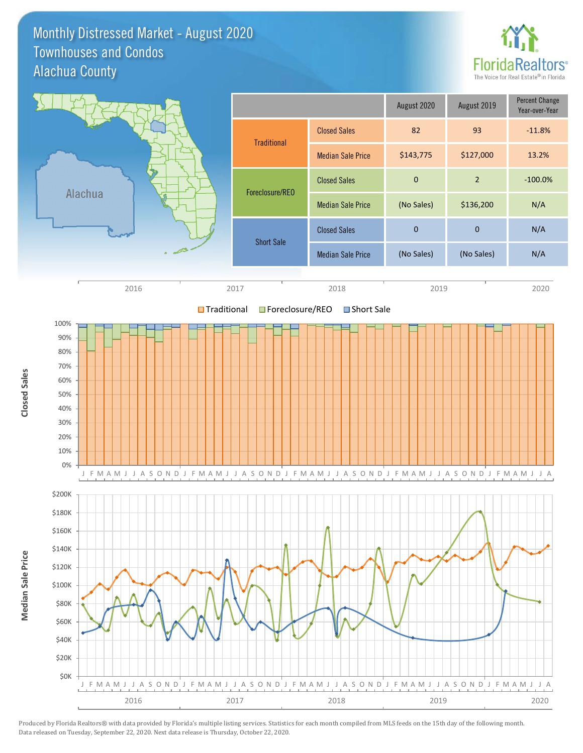#### Monthly Distressed Market - August 2020 Alachua County Townhouses and Condos



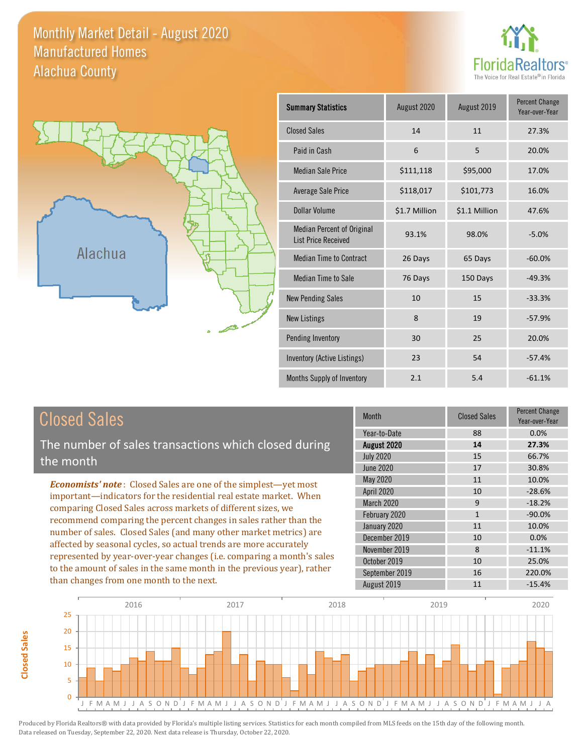#### Monthly Market Detail - August 2020 Alachua County Manufactured Homes





**Closed Sales**

**Closed Sales** 

| <b>Summary Statistics</b>                                       | August 2019<br>August 2020 |               | <b>Percent Change</b><br>Year-over-Year |
|-----------------------------------------------------------------|----------------------------|---------------|-----------------------------------------|
| <b>Closed Sales</b>                                             | 14                         | 11            | 27.3%                                   |
| Paid in Cash                                                    | 6                          | 5             | 20.0%                                   |
| <b>Median Sale Price</b>                                        | \$111,118                  | \$95,000      | 17.0%                                   |
| Average Sale Price                                              | \$118,017                  | \$101,773     | 16.0%                                   |
| Dollar Volume                                                   | \$1.7 Million              | \$1.1 Million | 47.6%                                   |
| <b>Median Percent of Original</b><br><b>List Price Received</b> | 93.1%                      | 98.0%         | $-5.0%$                                 |
| <b>Median Time to Contract</b>                                  | 26 Days                    | 65 Days       | $-60.0%$                                |
| Median Time to Sale                                             | 76 Days                    | 150 Days      | $-49.3%$                                |
| <b>New Pending Sales</b>                                        | 10                         | 15            | $-33.3%$                                |
| <b>New Listings</b>                                             | 8                          | 19            | $-57.9%$                                |
| Pending Inventory                                               | 30                         | 25            | 20.0%                                   |
| Inventory (Active Listings)                                     | 23                         | 54            | $-57.4%$                                |
| Months Supply of Inventory                                      | 2.1                        | 5.4           | $-61.1%$                                |

| <b>Closed Sales</b>                                                                                                                                                                                                                                                                                                                                                                                                      | <b>Month</b>      | <b>Closed Sales</b> | <b>Percent Change</b><br>Year-over-Year |
|--------------------------------------------------------------------------------------------------------------------------------------------------------------------------------------------------------------------------------------------------------------------------------------------------------------------------------------------------------------------------------------------------------------------------|-------------------|---------------------|-----------------------------------------|
|                                                                                                                                                                                                                                                                                                                                                                                                                          | Year-to-Date      | 88                  | $0.0\%$                                 |
| The number of sales transactions which closed during                                                                                                                                                                                                                                                                                                                                                                     | August 2020       | 14                  | 27.3%                                   |
| the month                                                                                                                                                                                                                                                                                                                                                                                                                | <b>July 2020</b>  | 15                  | 66.7%                                   |
|                                                                                                                                                                                                                                                                                                                                                                                                                          | June 2020         | 17                  | 30.8%                                   |
| <b>Economists' note:</b> Closed Sales are one of the simplest—yet most                                                                                                                                                                                                                                                                                                                                                   | May 2020          | 11                  | 10.0%                                   |
| important—indicators for the residential real estate market. When<br>comparing Closed Sales across markets of different sizes, we<br>recommend comparing the percent changes in sales rather than the<br>number of sales. Closed Sales (and many other market metrics) are<br>affected by seasonal cycles, so actual trends are more accurately<br>represented by year-over-year changes (i.e. comparing a month's sales | <b>April 2020</b> | 10                  | $-28.6%$                                |
|                                                                                                                                                                                                                                                                                                                                                                                                                          | <b>March 2020</b> | 9                   | $-18.2%$                                |
|                                                                                                                                                                                                                                                                                                                                                                                                                          | February 2020     | $\mathbf{1}$        | $-90.0\%$                               |
|                                                                                                                                                                                                                                                                                                                                                                                                                          | January 2020      | 11                  | 10.0%                                   |
|                                                                                                                                                                                                                                                                                                                                                                                                                          | December 2019     | 10                  | $0.0\%$                                 |
|                                                                                                                                                                                                                                                                                                                                                                                                                          | November 2019     | 8                   | $-11.1%$                                |
|                                                                                                                                                                                                                                                                                                                                                                                                                          | October 2019      | 10                  | 25.0%                                   |
| to the amount of sales in the same month in the previous year), rather                                                                                                                                                                                                                                                                                                                                                   | September 2019    | 16                  | 220.0%                                  |
| than changes from one month to the next.                                                                                                                                                                                                                                                                                                                                                                                 | August 2019       | 11                  | $-15.4%$                                |

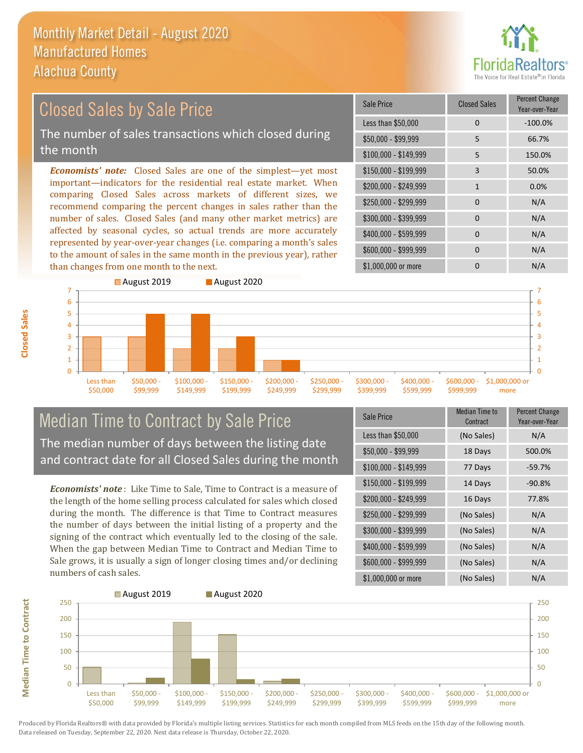

#### \$100,000 - \$149,999 5 150.0% Sale Price Closed Sales Percent Change Year-over-Year Less than \$50,000 0 0 -100.0% \$50,000 - \$99,999 5 66.7% \$150,000 - \$199,999 3 50.0% \$200,000 - \$249,999 1 0.0%  $$400,000 - $599,999$  0 N/A \$600,000 - \$999,999 0 0 N/A *Economists' note:* Closed Sales are one of the simplest—yet most important—indicators for the residential real estate market. When comparing Closed Sales across markets of different sizes, we recommend comparing the percent changes in sales rather than the number of sales. Closed Sales (and many other market metrics) are affected by seasonal cycles, so actual trends are more accurately represented by year-over-year changes (i.e. comparing a month's sales to the amount of sales in the same month in the previous year), rather than changes from one month to the next. \$1,000,000 or more 0 0 N/A \$250,000 - \$299,999 0 N/A \$300,000 - \$399,999 0 0 N/A August 2019 August 2020 Closed Sales by Sale Price The number of sales transactions which closed during the month



### Median Time to Contract by Sale Price The median number of days between the listing date and contract date for all Closed Sales during the month

*Economists' note* : Like Time to Sale, Time to Contract is a measure of the length of the home selling process calculated for sales which closed during the month. The difference is that Time to Contract measures the number of days between the initial listing of a property and the signing of the contract which eventually led to the closing of the sale. When the gap between Median Time to Contract and Median Time to Sale grows, it is usually a sign of longer closing times and/or declining numbers of cash sales.

| <b>Sale Price</b>     | <b>Median Time to</b><br>Contract | <b>Percent Change</b><br>Year-over-Year |
|-----------------------|-----------------------------------|-----------------------------------------|
| Less than \$50,000    | (No Sales)                        | N/A                                     |
| $$50,000 - $99,999$   | 18 Days                           | 500.0%                                  |
| $$100,000 - $149,999$ | 77 Days                           | $-59.7%$                                |
| $$150,000 - $199,999$ | 14 Days                           | $-90.8%$                                |
| \$200,000 - \$249,999 | 16 Days                           | 77.8%                                   |
| \$250,000 - \$299,999 | (No Sales)                        | N/A                                     |
| \$300,000 - \$399,999 | (No Sales)                        | N/A                                     |
| \$400,000 - \$599,999 | (No Sales)                        | N/A                                     |
| \$600,000 - \$999,999 | (No Sales)                        | N/A                                     |
| \$1,000,000 or more   | (No Sales)                        | N/A                                     |

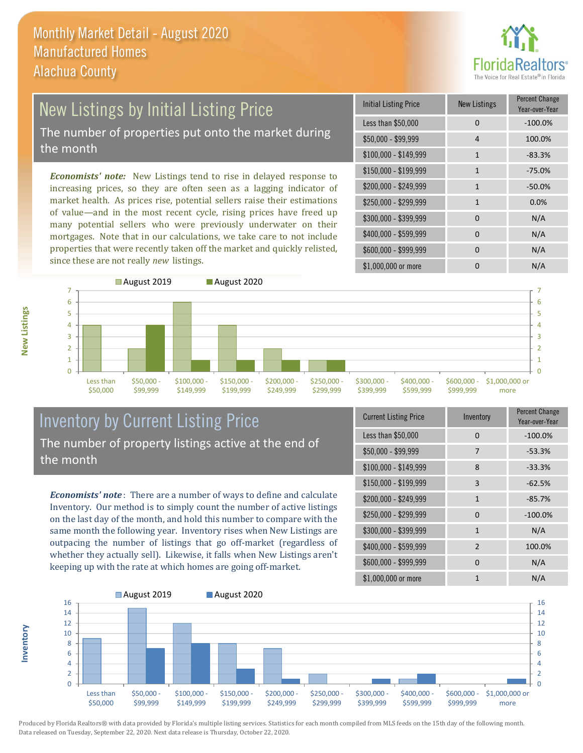

#### New Listings by Initial Listing Price The number of properties put onto the market during the month

*Economists' note:* New Listings tend to rise in delayed response to increasing prices, so they are often seen as a lagging indicator of market health. As prices rise, potential sellers raise their estimations of value—and in the most recent cycle, rising prices have freed up many potential sellers who were previously underwater on their mortgages. Note that in our calculations, we take care to not include properties that were recently taken off the market and quickly relisted, since these are not really *new* listings.

| Initial Listing Price | New Listings | <b>Percent Change</b><br>Year-over-Year |
|-----------------------|--------------|-----------------------------------------|
| Less than \$50,000    | 0            | $-100.0%$                               |
| $$50,000 - $99,999$   | 4            | 100.0%                                  |
| $$100,000 - $149,999$ | $\mathbf{1}$ | $-83.3%$                                |
| $$150,000 - $199,999$ | $\mathbf{1}$ | $-75.0%$                                |
| \$200,000 - \$249,999 | $\mathbf{1}$ | $-50.0%$                                |
| \$250,000 - \$299,999 | $\mathbf{1}$ | 0.0%                                    |
| \$300,000 - \$399,999 | 0            | N/A                                     |
| \$400,000 - \$599,999 | 0            | N/A                                     |
| \$600,000 - \$999,999 | 0            | N/A                                     |
| \$1,000,000 or more   | n            | N/A                                     |



### Inventory by Current Listing Price The number of property listings active at the end of the month

*Economists' note* : There are a number of ways to define and calculate Inventory. Our method is to simply count the number of active listings on the last day of the month, and hold this number to compare with the same month the following year. Inventory rises when New Listings are outpacing the number of listings that go off-market (regardless of whether they actually sell). Likewise, it falls when New Listings aren't keeping up with the rate at which homes are going off-market.

| <b>Current Listing Price</b> | Inventory      | Percent Change<br>Year-over-Year |
|------------------------------|----------------|----------------------------------|
| Less than \$50,000           | $\Omega$       | $-100.0%$                        |
| $$50,000 - $99,999$          | 7              | $-53.3%$                         |
| $$100,000 - $149,999$        | 8              | $-33.3%$                         |
| $$150,000 - $199,999$        | 3              | $-62.5%$                         |
| \$200,000 - \$249,999        | $\mathbf{1}$   | $-85.7%$                         |
| \$250,000 - \$299,999        | $\Omega$       | $-100.0%$                        |
| \$300,000 - \$399,999        | $\mathbf{1}$   | N/A                              |
| \$400,000 - \$599,999        | $\overline{2}$ | 100.0%                           |
| \$600,000 - \$999,999        | $\Omega$       | N/A                              |
| \$1,000,000 or more          | 1              | N/A                              |



Produced by Florida Realtors® with data provided by Florida's multiple listing services. Statistics for each month compiled from MLS feeds on the 15th day of the following month. Data released on Tuesday, September 22, 2020. Next data release is Thursday, October 22, 2020.

**Inventory**